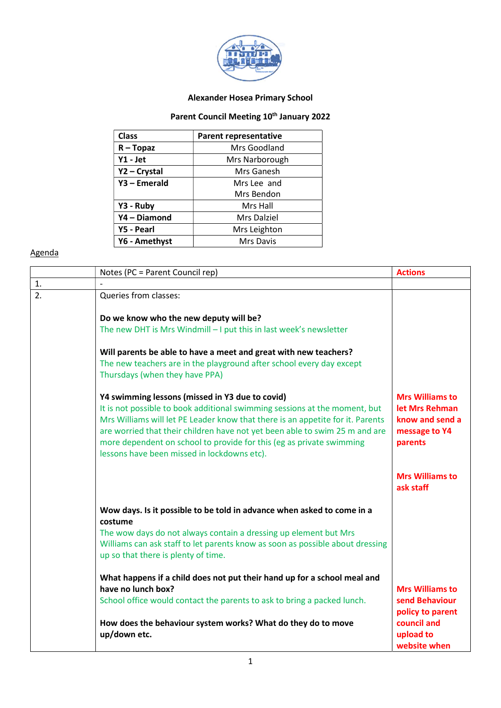

## Alexander Hosea Primary School

## Parent Council Meeting 10<sup>th</sup> January 2022

| <b>Class</b>   | <b>Parent representative</b> |
|----------------|------------------------------|
| $R - Topaz$    | Mrs Goodland                 |
| $Y1 - Jet$     | Mrs Narborough               |
| Y2 - Crystal   | Mrs Ganesh                   |
| $Y3$ – Emerald | Mrs Lee and                  |
|                | Mrs Bendon                   |
| Y3 - Ruby      | Mrs Hall                     |
| Y4 - Diamond   | Mrs Dalziel                  |
| Y5 - Pearl     | Mrs Leighton                 |
| Y6 - Amethyst  | <b>Mrs Davis</b>             |

## Agenda

|    | Notes (PC = Parent Council rep)                                                                                                                                                                                                                                                                                                                                                                                       | <b>Actions</b>                                                                          |
|----|-----------------------------------------------------------------------------------------------------------------------------------------------------------------------------------------------------------------------------------------------------------------------------------------------------------------------------------------------------------------------------------------------------------------------|-----------------------------------------------------------------------------------------|
| 1. |                                                                                                                                                                                                                                                                                                                                                                                                                       |                                                                                         |
| 2. | Queries from classes:                                                                                                                                                                                                                                                                                                                                                                                                 |                                                                                         |
|    | Do we know who the new deputy will be?                                                                                                                                                                                                                                                                                                                                                                                |                                                                                         |
|    | The new DHT is Mrs Windmill $-1$ put this in last week's newsletter                                                                                                                                                                                                                                                                                                                                                   |                                                                                         |
|    | Will parents be able to have a meet and great with new teachers?<br>The new teachers are in the playground after school every day except<br>Thursdays (when they have PPA)                                                                                                                                                                                                                                            |                                                                                         |
|    | Y4 swimming lessons (missed in Y3 due to covid)<br>It is not possible to book additional swimming sessions at the moment, but<br>Mrs Williams will let PE Leader know that there is an appetite for it. Parents<br>are worried that their children have not yet been able to swim 25 m and are<br>more dependent on school to provide for this (eg as private swimming<br>lessons have been missed in lockdowns etc). | <b>Mrs Williams to</b><br>let Mrs Rehman<br>know and send a<br>message to Y4<br>parents |
|    |                                                                                                                                                                                                                                                                                                                                                                                                                       | <b>Mrs Williams to</b><br>ask staff                                                     |
|    | Wow days. Is it possible to be told in advance when asked to come in a<br>costume                                                                                                                                                                                                                                                                                                                                     |                                                                                         |
|    | The wow days do not always contain a dressing up element but Mrs<br>Williams can ask staff to let parents know as soon as possible about dressing<br>up so that there is plenty of time.                                                                                                                                                                                                                              |                                                                                         |
|    | What happens if a child does not put their hand up for a school meal and<br>have no lunch box?                                                                                                                                                                                                                                                                                                                        | <b>Mrs Williams to</b>                                                                  |
|    | School office would contact the parents to ask to bring a packed lunch.                                                                                                                                                                                                                                                                                                                                               | send Behaviour<br>policy to parent                                                      |
|    | How does the behaviour system works? What do they do to move<br>up/down etc.                                                                                                                                                                                                                                                                                                                                          | council and<br>upload to<br>website when                                                |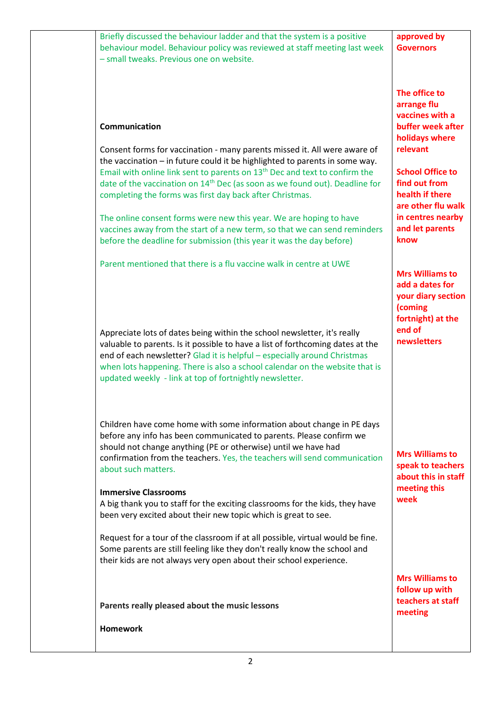| Briefly discussed the behaviour ladder and that the system is a positive<br>behaviour model. Behaviour policy was reviewed at staff meeting last week<br>- small tweaks. Previous one on website.                                                                                                                                                                                                                                                                                                                                                                                                                                                                                                                                        | approved by<br><b>Governors</b>                                                                                                                                                                                                         |
|------------------------------------------------------------------------------------------------------------------------------------------------------------------------------------------------------------------------------------------------------------------------------------------------------------------------------------------------------------------------------------------------------------------------------------------------------------------------------------------------------------------------------------------------------------------------------------------------------------------------------------------------------------------------------------------------------------------------------------------|-----------------------------------------------------------------------------------------------------------------------------------------------------------------------------------------------------------------------------------------|
| Communication<br>Consent forms for vaccination - many parents missed it. All were aware of<br>the vaccination - in future could it be highlighted to parents in some way.<br>Email with online link sent to parents on 13 <sup>th</sup> Dec and text to confirm the<br>date of the vaccination on 14 <sup>th</sup> Dec (as soon as we found out). Deadline for<br>completing the forms was first day back after Christmas.<br>The online consent forms were new this year. We are hoping to have<br>vaccines away from the start of a new term, so that we can send reminders<br>before the deadline for submission (this year it was the day before)<br>Parent mentioned that there is a flu vaccine walk in centre at UWE              | The office to<br>arrange flu<br>vaccines with a<br>buffer week after<br>holidays where<br>relevant<br><b>School Office to</b><br>find out from<br>health if there<br>are other flu walk<br>in centres nearby<br>and let parents<br>know |
| Appreciate lots of dates being within the school newsletter, it's really<br>valuable to parents. Is it possible to have a list of forthcoming dates at the<br>end of each newsletter? Glad it is helpful - especially around Christmas<br>when lots happening. There is also a school calendar on the website that is<br>updated weekly - link at top of fortnightly newsletter.                                                                                                                                                                                                                                                                                                                                                         | <b>Mrs Williams to</b><br>add a dates for<br>your diary section<br>(coming<br>fortnight) at the<br>end of<br>newsletters                                                                                                                |
| Children have come home with some information about change in PE days<br>before any info has been communicated to parents. Please confirm we<br>should not change anything (PE or otherwise) until we have had<br>confirmation from the teachers. Yes, the teachers will send communication<br>about such matters.<br><b>Immersive Classrooms</b><br>A big thank you to staff for the exciting classrooms for the kids, they have<br>been very excited about their new topic which is great to see.<br>Request for a tour of the classroom if at all possible, virtual would be fine.<br>Some parents are still feeling like they don't really know the school and<br>their kids are not always very open about their school experience. | <b>Mrs Williams to</b><br>speak to teachers<br>about this in staff<br>meeting this<br>week                                                                                                                                              |
| Parents really pleased about the music lessons<br><b>Homework</b>                                                                                                                                                                                                                                                                                                                                                                                                                                                                                                                                                                                                                                                                        | <b>Mrs Williams to</b><br>follow up with<br>teachers at staff<br>meeting                                                                                                                                                                |